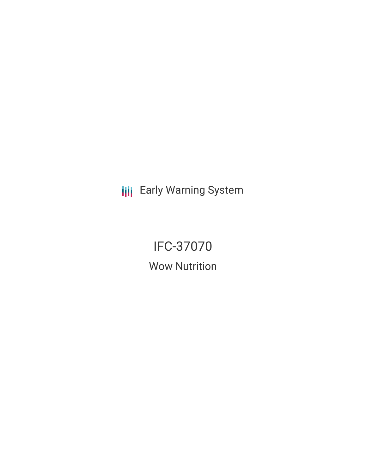**III** Early Warning System

# IFC-37070

Wow Nutrition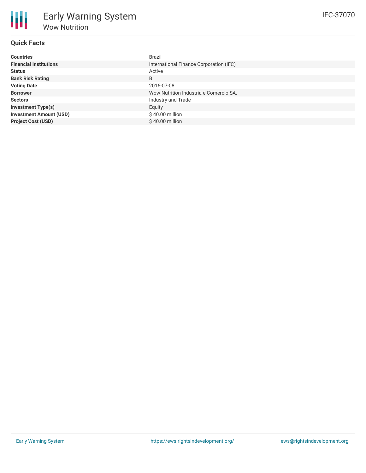| <b>Countries</b>               | Brazil                                  |
|--------------------------------|-----------------------------------------|
| <b>Financial Institutions</b>  | International Finance Corporation (IFC) |
| <b>Status</b>                  | Active                                  |
| <b>Bank Risk Rating</b>        | B                                       |
| <b>Voting Date</b>             | 2016-07-08                              |
| <b>Borrower</b>                | Wow Nutrition Industria e Comercio SA.  |
| <b>Sectors</b>                 | Industry and Trade                      |
| <b>Investment Type(s)</b>      | Equity                                  |
| <b>Investment Amount (USD)</b> | \$40.00 million                         |
| <b>Project Cost (USD)</b>      | $$40.00$ million                        |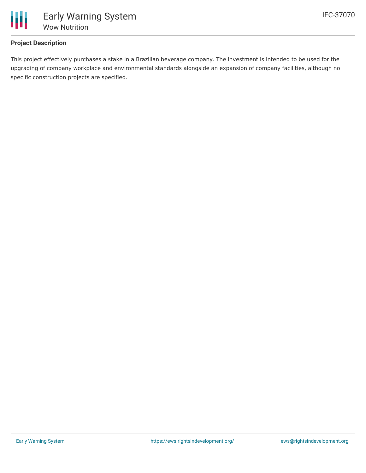

## **Project Description**

This project effectively purchases a stake in a Brazilian beverage company. The investment is intended to be used for the upgrading of company workplace and environmental standards alongside an expansion of company facilities, although no specific construction projects are specified.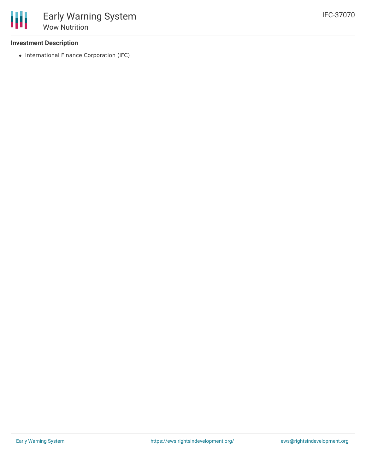#### **Investment Description**

• International Finance Corporation (IFC)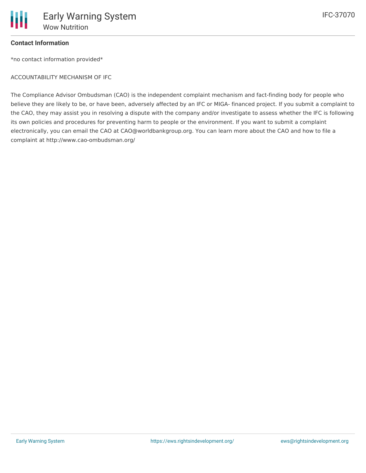

#### **Contact Information**

\*no contact information provided\*

ACCOUNTABILITY MECHANISM OF IFC

The Compliance Advisor Ombudsman (CAO) is the independent complaint mechanism and fact-finding body for people who believe they are likely to be, or have been, adversely affected by an IFC or MIGA- financed project. If you submit a complaint to the CAO, they may assist you in resolving a dispute with the company and/or investigate to assess whether the IFC is following its own policies and procedures for preventing harm to people or the environment. If you want to submit a complaint electronically, you can email the CAO at CAO@worldbankgroup.org. You can learn more about the CAO and how to file a complaint at http://www.cao-ombudsman.org/